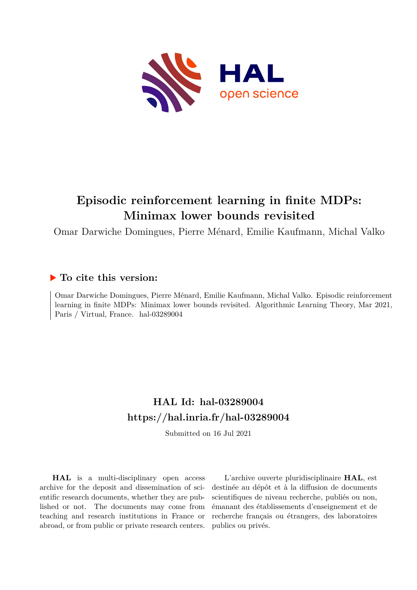<span id="page-0-0"></span>

# **Episodic reinforcement learning in finite MDPs: Minimax lower bounds revisited**

Omar Darwiche Domingues, Pierre Ménard, Emilie Kaufmann, Michal Valko

## **To cite this version:**

Omar Darwiche Domingues, Pierre Ménard, Emilie Kaufmann, Michal Valko. Episodic reinforcement learning in finite MDPs: Minimax lower bounds revisited. Algorithmic Learning Theory, Mar 2021, Paris / Virtual, France. hal-03289004

# **HAL Id: hal-03289004 <https://hal.inria.fr/hal-03289004>**

Submitted on 16 Jul 2021

**HAL** is a multi-disciplinary open access archive for the deposit and dissemination of scientific research documents, whether they are published or not. The documents may come from teaching and research institutions in France or abroad, or from public or private research centers.

L'archive ouverte pluridisciplinaire **HAL**, est destinée au dépôt et à la diffusion de documents scientifiques de niveau recherche, publiés ou non, émanant des établissements d'enseignement et de recherche français ou étrangers, des laboratoires publics ou privés.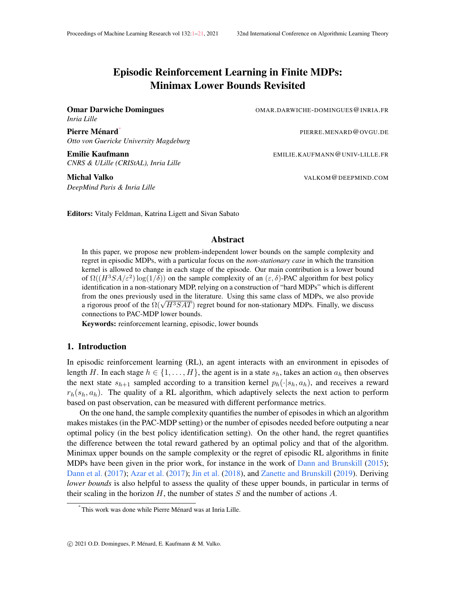## Episodic Reinforcement Learning in Finite MDPs: Minimax Lower Bounds Revisited

*Inria Lille*

Omar Darwiche Domingues OMAR.DARWICHE-DOMINGUES@INRIA.FR

PIERRE.MENARD@OVGU.DE

Pierre Ménard<sup>\*</sup> *Otto von Guericke University Magdeburg*

Emilie Kaufmann EMILIE.KAUFMANN@UNIV-LILLE.FR *CNRS & ULille (CRIStAL), Inria Lille*

*DeepMind Paris & Inria Lille*

Michal Valko Valko Valko Valko Valko Valko Valko Valko Valko Valko Valko Valko Valko Valko Valko Valko Valko V

Editors: Vitaly Feldman, Katrina Ligett and Sivan Sabato

## Abstract

In this paper, we propose new problem-independent lower bounds on the sample complexity and regret in episodic MDPs, with a particular focus on the *non-stationary case* in which the transition kernel is allowed to change in each stage of the episode. Our main contribution is a lower bound of  $\Omega((H^3SA/\varepsilon^2) \log(1/\delta))$  on the sample complexity of an  $(\varepsilon, \delta)$ -PAC algorithm for best policy identification in a non-stationary MDP, relying on a construction of "hard MDPs" which is different from the ones previously used in the literature. Using this same class of MDPs, we also provide from the ones previously used in the literature. Using this same class of MDPs, we also provide<br>a rigorous proof of the  $\Omega(\sqrt{H^3SAT})$  regret bound for non-stationary MDPs. Finally, we discuss connections to PAC-MDP lower bounds.

Keywords: reinforcement learning, episodic, lower bounds

## 1. Introduction

In episodic reinforcement learning (RL), an agent interacts with an environment in episodes of length H. In each stage  $h \in \{1, \ldots, H\}$ , the agent is in a state  $s_h$ , takes an action  $a_h$  then observes the next state  $s_{h+1}$  sampled according to a transition kernel  $p_h(\cdot|s_h, a_h)$ , and receives a reward  $r_h(s_h, a_h)$ . The quality of a RL algorithm, which adaptively selects the next action to perform based on past observation, can be measured with different performance metrics.

On the one hand, the sample complexity quantifies the number of episodes in which an algorithm makes mistakes (in the PAC-MDP setting) or the number of episodes needed before outputing a near optimal policy (in the best policy identification setting). On the other hand, the regret quantifies the difference between the total reward gathered by an optimal policy and that of the algorithm. Minimax upper bounds on the sample complexity or the regret of episodic RL algorithms in finite MDPs have been given in the prior work, for instance in the work of Dann and Brunskill (2015); Dann et al. (2017); Azar et al. (2017); Jin et al. (2018), and Zanette and Brunskill (2019). Deriving *lower bounds* is also helpful to assess the quality of these upper bounds, in particular in terms of their scaling in the horizon H, the number of states S and the number of actions A.

<sup>∗</sup> This work was done while Pierre Menard was at Inria Lille. ´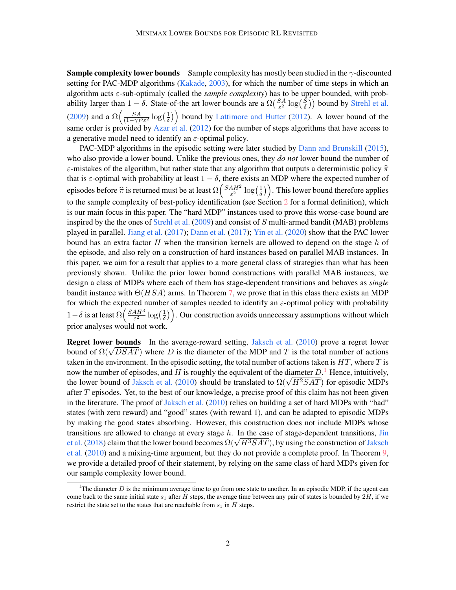**Sample complexity lower bounds** Sample complexity has mostly been studied in the  $\gamma$ -discounted setting for PAC-MDP algorithms (Kakade, 2003), for which the number of time steps in which an algorithm acts ε-sub-optimaly (called the *sample complexity*) has to be upper bounded, with probability larger than  $1 - \delta$ . State-of-the art lower bounds are a  $\Omega\left(\frac{SA}{\epsilon^2}\right)$  $\frac{SA}{\varepsilon^2}\log(\frac{S}{\delta})$  $\left(\frac{S}{\delta}\right)$ ) bound by Strehl et al. (2009) and a  $\Omega\left(\frac{SA}{(1-\alpha)^3}\right)$  $\frac{SA}{(1-\gamma)^3 \varepsilon^2} \log\left(\frac{1}{\delta}\right)$  $\left(\frac{1}{\delta}\right)$  bound by Lattimore and Hutter (2012). A lower bound of the same order is provided by Azar et al. (2012) for the number of steps algorithms that have access to a generative model need to identify an  $\varepsilon$ -optimal policy.

PAC-MDP algorithms in the episodic setting were later studied by Dann and Brunskill (2015), who also provide a lower bound. Unlike the previous ones, they *do not* lower bound the number of ε-mistakes of the algorithm, but rather state that any algorithm that outputs a deterministic policy  $\hat{\pi}$ that is  $\varepsilon$ -optimal with probability at least  $1 - \delta$ , there exists an MDP where the expected number of episodes before  $\hat{\pi}$  is returned must be at least  $\Omega\left(\frac{SAH^2}{\varepsilon^2}\right)$  $\frac{4H^2}{\varepsilon^2} \log\left(\frac{1}{\delta}\right)$  $(\frac{1}{\delta})$ . This lower bound therefore applies to the sample complexity of best-policy identification (see Section 2 for a formal definition), which is our main focus in this paper. The "hard MDP" instances used to prove this worse-case bound are inspired by the the ones of Strehl et al.  $(2009)$  and consist of S multi-armed bandit (MAB) problems played in parallel. Jiang et al. (2017); Dann et al. (2017); Yin et al. (2020) show that the PAC lower bound has an extra factor  $H$  when the transition kernels are allowed to depend on the stage  $h$  of the episode, and also rely on a construction of hard instances based on parallel MAB instances. In this paper, we aim for a result that applies to a more general class of strategies than what has been previously shown. Unlike the prior lower bound constructions with parallel MAB instances, we design a class of MDPs where each of them has stage-dependent transitions and behaves as *single* bandit instance with  $\Theta(HSA)$  arms. In Theorem 7, we prove that in this class there exists an MDP for which the expected number of samples needed to identify an  $\varepsilon$ -optimal policy with probability  $1-\delta$  is at least  $\Omega\left(\frac{SAH^3}{\epsilon^2}\right)$  $\frac{4H^3}{\varepsilon^2}\log\left(\frac{1}{\delta}\right)$  $\left(\frac{1}{\delta}\right)$ . Our construction avoids unnecessary assumptions without which prior analyses would not work.

Regret lower bounds In the average-reward setting, Jaksch et al. (2010) prove a regret lower **Regret lower bounds** in the average-reward setting, Jaksch et al. (2010) prove a regret lower bound of  $\Omega(\sqrt{DSAT})$  where D is the diameter of the MDP and T is the total number of actions taken in the environment. In the episodic setting, the total number of actions taken is  $HT$ , where T is now the number of episodes, and H is roughly the equivalent of the diameter  $D<sup>1</sup>$ . Hence, intuitively, how the number of episodes, and *H* is roughly the equivalent of the diameter *D*. Hence, intuitively, the lower bound of Jaksch et al. (2010) should be translated to  $\Omega(\sqrt{H^2SAT})$  for episodic MDPs after  $T$  episodes. Yet, to the best of our knowledge, a precise proof of this claim has not been given in the literature. The proof of Jaksch et al. (2010) relies on building a set of hard MDPs with "bad" states (with zero reward) and "good" states (with reward 1), and can be adapted to episodic MDPs by making the good states absorbing. However, this construction does not include MDPs whose transitions are allowed to change at every stage  $h$ . In the case of stage-dependent transitions, Jin transitions are allowed to change at every stage *n*. In the case of stage-dependent transitions, Jin et al. (2018) claim that the lower bound becomes  $\Omega(\sqrt{H^3SAT})$ , by using the construction of Jaksch et al. (2010) and a mixing-time argument, but they do not provide a complete proof. In Theorem 9, we provide a detailed proof of their statement, by relying on the same class of hard MDPs given for our sample complexity lower bound.

<sup>&</sup>lt;sup>1</sup>The diameter  $D$  is the minimum average time to go from one state to another. In an episodic MDP, if the agent can come back to the same initial state  $s_1$  after H steps, the average time between any pair of states is bounded by  $2H$ , if we restrict the state set to the states that are reachable from  $s_1$  in  $H$  steps.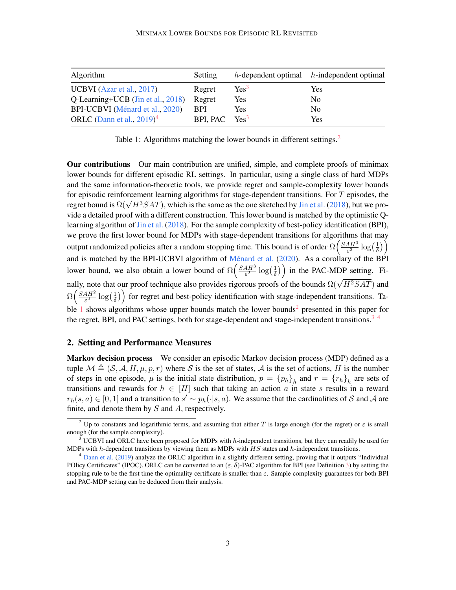| Algorithm                         | Setting         |         | $h$ -dependent optimal $h$ -independent optimal |
|-----------------------------------|-----------------|---------|-------------------------------------------------|
| UCBVI (Azar et al., $2017$ )      | Regret          | $Yes^3$ | Yes                                             |
| Q-Learning+UCB (Jin et al., 2018) | Regret          | Yes     | N <sub>0</sub>                                  |
| BPI-UCBVI (Ménard et al., 2020)   | <b>BPI</b>      | Yes     | No.                                             |
| ORLC (Dann et al., $2019)^4$      | BPI, PAC $Yes3$ |         | Yes                                             |

Table 1: Algorithms matching the lower bounds in different settings.<sup>2</sup>

Our contributions Our main contribution are unified, simple, and complete proofs of minimax lower bounds for different episodic RL settings. In particular, using a single class of hard MDPs and the same information-theoretic tools, we provide regret and sample-complexity lower bounds for episodic reinforcement learning algorithms for stage-dependent transitions. For T episodes, the for episodic reinforcement learning algorithms for stage-dependent transitions. For T episodes, the regret bound is  $\Omega(\sqrt{H^3SAT})$ , which is the same as the one sketched by Jin et al. (2018), but we provide a detailed proof with a different construction. This lower bound is matched by the optimistic Qlearning algorithm of Jin et al. (2018). For the sample complexity of best-policy identification (BPI), we prove the first lower bound for MDPs with stage-dependent transitions for algorithms that may output randomized policies after a random stopping time. This bound is of order  $\Omega\left(\frac{SAH^3}{\epsilon^2}\right)$  $\frac{4H^3}{\varepsilon^2}\log\left(\frac{1}{\delta}\right)$  $\frac{1}{\delta})$ and is matched by the BPI-UCBVI algorithm of Ménard et al.  $(2020)$ . As a corollary of the BPI lower bound, we also obtain a lower bound of  $\Omega\left(\frac{SAH^3}{\epsilon^2}\right)$  $\frac{4H^3}{\varepsilon^2}\log\left(\frac{1}{\delta}\right)$  $\left(\frac{1}{\delta}\right)$  in the PAC-MDP setting. Finally, note that our proof technique also provides rigorous proofs of the bounds  $\Omega(\sqrt{H^2SAT})$  and  $\Omega\left(\frac{SAH^2}{\varepsilon^2}\right)$  $\frac{4H^2}{\varepsilon^2}\log\left(\frac{1}{\delta}\right)$  $\left(\frac{1}{\delta}\right)$  for regret and best-policy identification with stage-independent transitions. Table 1 shows algorithms whose upper bounds match the lower bounds<sup>2</sup> presented in this paper for the regret, BPI, and PAC settings, both for stage-dependent and stage-independent transitions.<sup>3</sup><sup>4</sup>

## 2. Setting and Performance Measures

Markov decision process We consider an episodic Markov decision process (MDP) defined as a tuple  $\mathcal{M} \triangleq (\mathcal{S}, \mathcal{A}, H, \mu, p, r)$  where  $\mathcal{S}$  is the set of states,  $\mathcal{A}$  is the set of actions, H is the number of steps in one episode,  $\mu$  is the initial state distribution,  $p = \{p_h\}_h$  and  $r = \{r_h\}_h$  are sets of transitions and rewards for  $h \in [H]$  such that taking an action a in state s results in a reward  $r_h(s,a) \in [0,1]$  and a transition to  $s' \sim p_h(\cdot|s,a)$ . We assume that the cardinalities of S and A are finite, and denote them by  $S$  and  $A$ , respectively.

<sup>&</sup>lt;sup>2</sup> Up to constants and logarithmic terms, and assuming that either T is large enough (for the regret) or  $\varepsilon$  is small enough (for the sample complexity).

<sup>&</sup>lt;sup>3</sup> UCBVI and ORLC have been proposed for MDPs with h-independent transitions, but they can readily be used for MDPs with  $h$ -dependent transitions by viewing them as MDPs with  $HS$  states and  $h$ -independent transitions.

 $<sup>4</sup>$  Dann et al. (2019) analyze the ORLC algorithm in a slightly different setting, proving that it outputs "Individual</sup> POlicy Certificates" (IPOC). ORLC can be converted to an  $(\varepsilon, \delta)$ -PAC algorithm for BPI (see Definition 3) by setting the stopping rule to be the first time the optimality certificate is smaller than  $\varepsilon$ . Sample complexity guarantees for both BPI and PAC-MDP setting can be deduced from their analysis.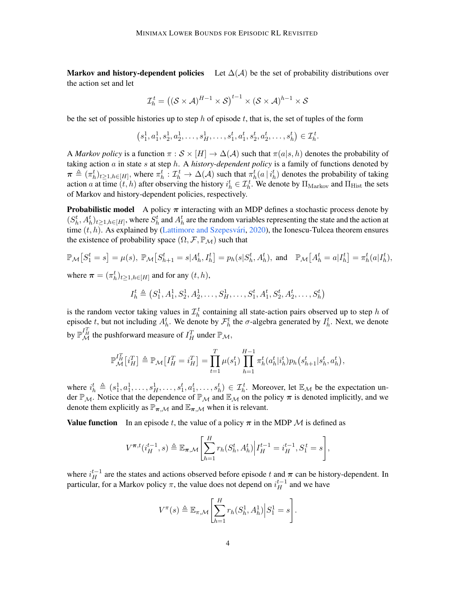Markov and history-dependent policies Let  $\Delta(\mathcal{A})$  be the set of probability distributions over the action set and let

$$
\mathcal{I}_h^t = ((\mathcal{S} \times \mathcal{A})^{H-1} \times \mathcal{S})^{t-1} \times (\mathcal{S} \times \mathcal{A})^{h-1} \times \mathcal{S}
$$

be the set of possible histories up to step h of episode t, that is, the set of tuples of the form

$$
(s_1^1, a_1^1, s_2^1, a_2^1, \dots, s_H^1, \dots, s_1^t, a_1^t, s_2^t, a_2^t, \dots, s_h^t) \in \mathcal{I}_h^t.
$$

A *Markov policy* is a function  $\pi : \mathcal{S} \times [H] \to \Delta(\mathcal{A})$  such that  $\pi(a|s, h)$  denotes the probability of taking action a in state s at step h. A *history-dependent policy* is a family of functions denoted by  $\pi \triangleq (\pi_h^t)_{t \geq 1, h \in [H]}$ , where  $\pi_h^t : \mathcal{I}_h^t \to \Delta(\mathcal{A})$  such that  $\pi_h^t(a | i_h^t)$  denotes the probability of taking action a at time  $(t, h)$  after observing the history  $i_h^t \in \mathcal{I}_h^t$ . We denote by  $\Pi_{\text{Markov}}$  and  $\Pi_{\text{Hist}}$  the sets of Markov and history-dependent policies, respectively.

**Probabilistic model** A policy  $\pi$  interacting with an MDP defines a stochastic process denote by  $(S_h^t, A_h^t)_{t \geq 1, h \in [H]}$ , where  $S_h^t$  and  $A_h^t$  are the random variables representing the state and the action at time  $(t, h)$ . As explained by (Lattimore and Szepesvári, 2020), the Ionescu-Tulcea theorem ensures the existence of probability space  $(\Omega, \mathcal{F}, \mathbb{P}_{\mathcal{M}})$  such that

$$
\mathbb{P}_{\mathcal{M}}\left[S_1^t = s\right] = \mu(s), \ \mathbb{P}_{\mathcal{M}}\left[S_{h+1}^t = s | A_h^t, I_h^t\right] = p_h(s | S_h^t, A_h^t), \text{ and } \ \mathbb{P}_{\mathcal{M}}\left[A_h^t = a | I_h^t\right] = \pi_h^t(a | I_h^t),
$$

where  $\boldsymbol{\pi} = (\pi_h^t)_{t \geq 1, h \in [H]}$  and for any  $(t, h)$ ,

$$
I_h^t \triangleq (S_1^1, A_1^1, S_2^1, A_2^1, \dots, S_H^1, \dots, S_1^t, A_1^t, S_2^t, A_2^t, \dots, S_h^t)
$$

is the random vector taking values in  $\mathcal{I}_h^t$  containing all state-action pairs observed up to step h of episode t, but not including  $A_h^t$ . We denote by  $\mathcal{F}_h^t$  the  $\sigma$ -algebra generated by  $I_h^t$ . Next, we denote by  $\mathbb{P}^{I^T_H}_\mathcal{M}$  the pushforward measure of  $I^T_H$  under  $\mathbb{P}_\mathcal{M}$ ,

$$
\mathbb{P}_{\mathcal{M}}^{I_{H}^{T}}[i_{H}^{T}] \triangleq \mathbb{P}_{\mathcal{M}}\left[I_{H}^{T}=i_{H}^{T}\right] = \prod_{t=1}^{T} \mu(s_{1}^{t}) \prod_{h=1}^{H-1} \pi_{h}^{t}(a_{h}^{t}|i_{h}^{t}) p_{h}(s_{h+1}^{t}|s_{h}^{t}, a_{h}^{t}),
$$

where  $i_h^t \triangleq (s_1^1, a_1^1, \ldots, s_H^1, \ldots, s_1^t, a_1^t, \ldots, s_h^t) \in \mathcal{I}_h^t$ . Moreover, let  $\mathbb{E}_{\mathcal{M}}$  be the expectation under  $\mathbb{P}_M$ . Notice that the dependence of  $\mathbb{P}_M$  and  $\mathbb{E}_M$  on the policy  $\pi$  is denoted implicitly, and we denote them explicitly as  $\mathbb{P}_{\pi,\mathcal{M}}$  and  $\mathbb{E}_{\pi,\mathcal{M}}$  when it is relevant.

**Value function** In an episode t, the value of a policy  $\pi$  in the MDP M is defined as

$$
V^{\pi,t}(i_H^{t-1},s) \triangleq \mathbb{E}_{\pi,\mathcal{M}}\left[\sum_{h=1}^H r_h(S_h^t, A_h^t)\Big| I_H^{t-1} = i_H^{t-1}, S_1^t = s\right],
$$

where  $i_H^{t-1}$  are the states and actions observed before episode t and  $\pi$  can be history-dependent. In particular, for a Markov policy  $\pi$ , the value does not depend on  $i_H^{t-1}$  and we have

$$
V^{\pi}(s) \triangleq \mathbb{E}_{\pi,\mathcal{M}}\left[\sum_{h=1}^{H} r_h(S_h^1, A_h^1) \Big| S_1^1 = s\right].
$$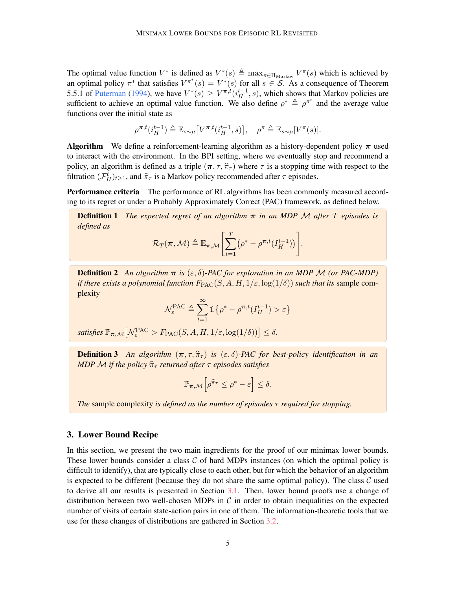The optimal value function  $V^*$  is defined as  $V^*(s) \triangleq \max_{\pi \in \Pi_{\text{Markov}}} V^{\pi}(s)$  which is achieved by an optimal policy  $\pi^*$  that satisfies  $V^{\pi^*}(s) = V^*(s)$  for all  $s \in S$ . As a consequence of Theorem 5.5.1 of Puterman (1994), we have  $V^*(s) \geq V^{\pi,t}(i_H^{t-1}, s)$ , which shows that Markov policies are sufficient to achieve an optimal value function. We also define  $\rho^* \triangleq \rho^{\pi^*}$  and the average value functions over the initial state as

$$
\rho^{\pi,t}(i_H^{t-1}) \triangleq \mathbb{E}_{s \sim \mu} \big[ V^{\pi,t}(i_H^{t-1},s) \big], \quad \rho^{\pi} \triangleq \mathbb{E}_{s \sim \mu} [V^{\pi}(s)].
$$

**Algorithm** We define a reinforcement-learning algorithm as a history-dependent policy  $\pi$  used to interact with the environment. In the BPI setting, where we eventually stop and recommend a policy, an algorithm is defined as a triple  $(\pi, \tau, \hat{\pi}_{\tau})$  where  $\tau$  is a stopping time with respect to the filtration  $(\mathcal{F}_H^t)_{t\geq 1}$ , and  $\hat{\pi}_{\tau}$  is a Markov policy recommended after  $\tau$  episodes.

Performance criteria The performance of RL algorithms has been commonly measured according to its regret or under a Probably Approximately Correct (PAC) framework, as defined below.

Definition 1 *The expected regret of an algorithm* π *in an MDP* M *after* T *episodes is defined as*

$$
\mathcal{R}_T(\boldsymbol{\pi},\mathcal{M}) \triangleq \mathbb{E}_{\boldsymbol{\pi},\mathcal{M}}\left[\sum_{t=1}^T \left(\rho^* - \rho^{\boldsymbol{\pi},t}(I_H^{t-1})\right)\right].
$$

**Definition 2** An algorithm  $\pi$  is  $(\varepsilon, \delta)$ -PAC for exploration in an MDP M (or PAC-MDP) *if there exists a polynomial function*  $F_{\text{PAC}}(S, A, H, 1/\varepsilon, \log(1/\delta))$  *such that its sample com*plexity

$$
\mathcal{N}_{\varepsilon}^{\text{PAC}} \triangleq \sum_{t=1}^{\infty} \mathbb{1} \left\{ \rho^* - \rho^{\pi, t}(I_H^{t-1}) > \varepsilon \right\}
$$

satisfies  $\mathbb{P}_{\pi,\mathcal{M}}\left[\mathcal{N}_{\varepsilon}^{\text{PAC}} > F_{\text{PAC}}(S, A, H, 1/\varepsilon, \log(1/\delta))\right] \leq \delta.$ 

**Definition 3** An algorithm  $(\pi, \tau, \hat{\pi}_{\tau})$  is  $(\varepsilon, \delta)$ -PAC for best-policy identification in an *MDP M if the policy*  $\hat{\pi}_{\tau}$  *returned after*  $\tau$  *episodes satisfies* 

$$
\mathbb{P}_{\boldsymbol{\pi},\mathcal{M}}\Big[\rho^{\widehat{\pi}_{\tau}}\leq \rho^*-\varepsilon\Big]\leq \delta.
$$

*The* sample complexity *is defined as the number of episodes* τ *required for stopping.*

## 3. Lower Bound Recipe

In this section, we present the two main ingredients for the proof of our minimax lower bounds. These lower bounds consider a class  $C$  of hard MDPs instances (on which the optimal policy is difficult to identify), that are typically close to each other, but for which the behavior of an algorithm is expected to be different (because they do not share the same optimal policy). The class  $\mathcal C$  used to derive all our results is presented in Section 3.1. Then, lower bound proofs use a change of distribution between two well-chosen MDPs in  $\mathcal C$  in order to obtain inequalities on the expected number of visits of certain state-action pairs in one of them. The information-theoretic tools that we use for these changes of distributions are gathered in Section 3.2.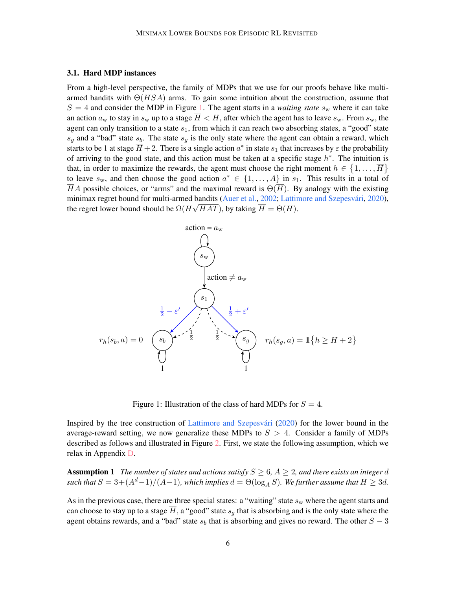#### 3.1. Hard MDP instances

From a high-level perspective, the family of MDPs that we use for our proofs behave like multiarmed bandits with  $\Theta(HSA)$  arms. To gain some intuition about the construction, assume that  $S = 4$  and consider the MDP in Figure 1. The agent starts in a *waiting state*  $s_w$  where it can take an action  $a_w$  to stay in  $s_w$  up to a stage  $\overline{H} < H$ , after which the agent has to leave  $s_w$ . From  $s_w$ , the agent can only transition to a state  $s_1$ , from which it can reach two absorbing states, a "good" state  $s_q$  and a "bad" state  $s_b$ . The state  $s_q$  is the only state where the agent can obtain a reward, which starts to be 1 at stage  $\overline{H}$  + 2. There is a single action  $a^*$  in state  $s_1$  that increases by  $\varepsilon$  the probability of arriving to the good state, and this action must be taken at a specific stage  $h^*$ . The intuition is that, in order to maximize the rewards, the agent must choose the right moment  $h \in \{1, \ldots, \overline{H}\}\$ to leave  $s_w$ , and then choose the good action  $a^* \in \{1, \ldots, A\}$  in  $s_1$ . This results in a total of  $\overline{H}A$  possible choices, or "arms" and the maximal reward is  $\Theta(\overline{H})$ . By analogy with the existing minimax regret bound for multi-armed bandits (Auer et al., 2002; Lattimore and Szepesvári, 2020), the regret lower bound should be  $\Omega(H\sqrt{HAT})$ , by taking  $\overline{H} = \Theta(H)$ .



Figure 1: Illustration of the class of hard MDPs for  $S = 4$ .

Inspired by the tree construction of Lattimore and Szepesvári  $(2020)$  for the lower bound in the average-reward setting, we now generalize these MDPs to  $S > 4$ . Consider a family of MDPs described as follows and illustrated in Figure 2. First, we state the following assumption, which we relax in Appendix D.

**Assumption 1** *The number of states and actions satisfy*  $S \geq 6$ ,  $A \geq 2$ , and there exists an integer d  $such that$   $S = 3 + (A<sup>d</sup> - 1)/(A - 1)$ *, which implies*  $d = \Theta(\log_A S)$ *. We further assume that*  $H \geq 3d$ *.* 

As in the previous case, there are three special states: a "waiting" state  $s_w$  where the agent starts and can choose to stay up to a stage  $\overline{H}$ , a "good" state  $s_q$  that is absorbing and is the only state where the agent obtains rewards, and a "bad" state  $s<sub>b</sub>$  that is absorbing and gives no reward. The other  $S - 3$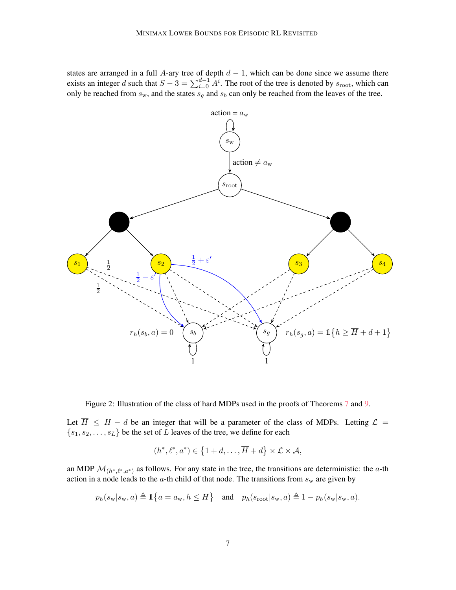states are arranged in a full A-ary tree of depth  $d - 1$ , which can be done since we assume there exists an integer d such that  $S - 3 = \sum_{i=0}^{d-1} A^i$ . The root of the tree is denoted by  $s_{\text{root}}$ , which can only be reached from  $s_w$ , and the states  $s_g$  and  $s_b$  can only be reached from the leaves of the tree.





Let  $\overline{H} \leq H - d$  be an integer that will be a parameter of the class of MDPs. Letting  $\mathcal{L} =$  ${s_1, s_2, \ldots, s_L}$  be the set of L leaves of the tree, we define for each

$$
(h^*, \ell^*, a^*) \in \{1+d, \ldots, \overline{H} + d\} \times \mathcal{L} \times \mathcal{A},
$$

an MDP  $\mathcal{M}_{(h^*,\ell^*,a^*)}$  as follows. For any state in the tree, the transitions are deterministic: the a-th action in a node leads to the  $a$ -th child of that node. The transitions from  $s_w$  are given by

$$
p_h(s_\mathbf{w}|s_\mathbf{w},a) \triangleq \mathbbm{1}\big\{a=a_\mathbf{w},h\leq \overline{H}\big\}\quad\text{and}\quad p_h(s_\mathrm{root}|s_\mathbf{w},a) \triangleq 1-p_h(s_\mathbf{w}|s_\mathbf{w},a).
$$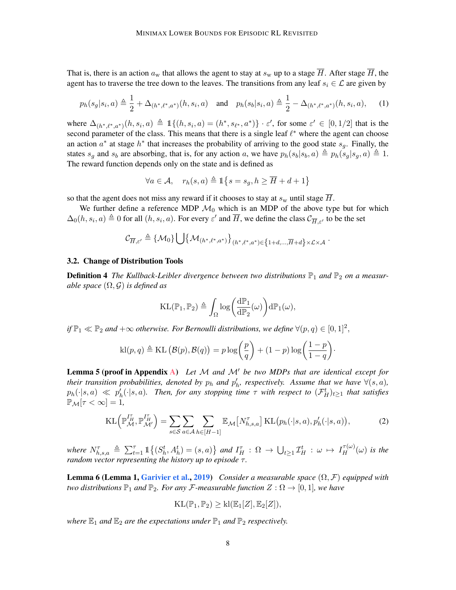That is, there is an action  $a_w$  that allows the agent to stay at  $s_w$  up to a stage  $\overline{H}$ . After stage  $\overline{H}$ , the agent has to traverse the tree down to the leaves. The transitions from any leaf  $s_i \in \mathcal{L}$  are given by

$$
p_h(s_g|s_i, a) \triangleq \frac{1}{2} + \Delta_{(h^*, \ell^*, a^*)}(h, s_i, a) \quad \text{and} \quad p_h(s_b|s_i, a) \triangleq \frac{1}{2} - \Delta_{(h^*, \ell^*, a^*)}(h, s_i, a), \tag{1}
$$

where  $\Delta_{(h^*,\ell^*,a^*)}(h, s_i, a) \triangleq \mathbb{1}\{(h, s_i, a) = (h^*, s_{\ell^*}, a^*)\} \cdot \varepsilon'$ , for some  $\varepsilon' \in [0,1/2]$  that is the second parameter of the class. This means that there is a single leaf  $\ell^*$  where the agent can choose an action  $a^*$  at stage  $h^*$  that increases the probability of arriving to the good state  $s_g$ . Finally, the states  $s_q$  and  $s_b$  are absorbing, that is, for any action a, we have  $p_h(s_b|s_b, a) \triangleq p_h(s_q|s_q, a) \triangleq 1$ . The reward function depends only on the state and is defined as

$$
\forall a \in \mathcal{A}, \quad r_h(s, a) \triangleq \mathbb{1}\big\{s = s_g, h \geq \overline{H} + d + 1\big\}
$$

so that the agent does not miss any reward if it chooses to stay at  $s_w$  until stage  $\overline{H}$ .

We further define a reference MDP  $\mathcal{M}_0$  which is an MDP of the above type but for which  $\Delta_0(h, s_i, a) \triangleq 0$  for all  $(h, s_i, a)$ . For every  $\varepsilon'$  and  $\overline{H}$ , we define the class  $\mathcal{C}_{\overline{H}, \varepsilon'}$  to be the set

$$
\mathcal{C}_{\overline{H},\varepsilon'}\triangleq \{\mathcal{M}_0\}\bigcup\bigl\{\mathcal{M}_{(h^*,\ell^*,a^*)}\bigr\}_{(h^*,\ell^*,a^*)\in\bigl\{1+d,...,\overline{H}+d\bigr\}\times\mathcal{L}\times\mathcal{A}}\ .
$$

#### 3.2. Change of Distribution Tools

**Definition 4** The Kullback-Leibler divergence between two distributions  $\mathbb{P}_1$  and  $\mathbb{P}_2$  on a measur*able space* (Ω, G) *is defined as*

$$
KL(\mathbb{P}_1, \mathbb{P}_2) \triangleq \int_{\Omega} \log \biggl( \frac{d\mathbb{P}_1}{d\mathbb{P}_2}(\omega) \biggr) d\mathbb{P}_1(\omega),
$$

*if*  $\mathbb{P}_1 \ll \mathbb{P}_2$  and  $+\infty$  *otherwise. For Bernoulli distributions, we define*  $\forall (p,q) \in [0,1]^2$ ,

$$
\text{kl}(p,q) \triangleq \text{KL}(\mathcal{B}(p), \mathcal{B}(q)) = p \log \left(\frac{p}{q}\right) + (1-p) \log \left(\frac{1-p}{1-q}\right).
$$

**Lemma 5 (proof in Appendix A)** Let  $M$  and  $M'$  be two MDPs that are identical except for *their transition probabilities, denoted by*  $p_h$  *and*  $p'_h$ *, respectively. Assume that we have*  $\forall (s, a)$ *,*  $p_h(\cdot|s,a) \ll p'_h(\cdot|s,a)$ . Then, for any stopping time  $\tau$  with respect to  $(\mathcal{F}_H^t)_{t\geq 1}$  that satisfies  $\mathbb{P}_M[\tau < \infty] = 1$ ,

$$
KL\left(\mathbb{P}_{\mathcal{M}}^{I_{H}^{T}}, \mathbb{P}_{\mathcal{M}'}^{I_{H}^{T}}\right) = \sum_{s \in \mathcal{S}} \sum_{a \in \mathcal{A}} \sum_{h \in [H-1]} \mathbb{E}_{\mathcal{M}}\left[N_{h,s,a}^{\tau}\right] KL\left(p_{h}(\cdot|s,a), p_{h}'(\cdot|s,a)\right),\tag{2}
$$

where  $N_{h,s,a}^{\tau} \triangleq \sum_{t=1}^{\tau} \mathbb{1}\{(S_h^t, A_h^t) = (s,a)\}$  and  $I_H^{\tau}$  :  $\Omega \to \bigcup_{t\geq 1} \mathcal{I}_H^t$  :  $\omega \mapsto I_H^{\tau(\omega)}(\omega)$  is the *random vector representing the history up to episode τ.* 

Lemma 6 (Lemma 1, Garivier et al., 2019) *Consider a measurable space* (Ω, F) *equipped with two distributions*  $\mathbb{P}_1$  *and*  $\mathbb{P}_2$ *. For any F*-measurable function  $Z : \Omega \to [0, 1]$ *, we have* 

$$
KL(\mathbb{P}_1, \mathbb{P}_2) \geq kl(\mathbb{E}_1[Z], \mathbb{E}_2[Z]),
$$

*where*  $\mathbb{E}_1$  *and*  $\mathbb{E}_2$  *are the expectations under*  $\mathbb{P}_1$  *and*  $\mathbb{P}_2$  *respectively.*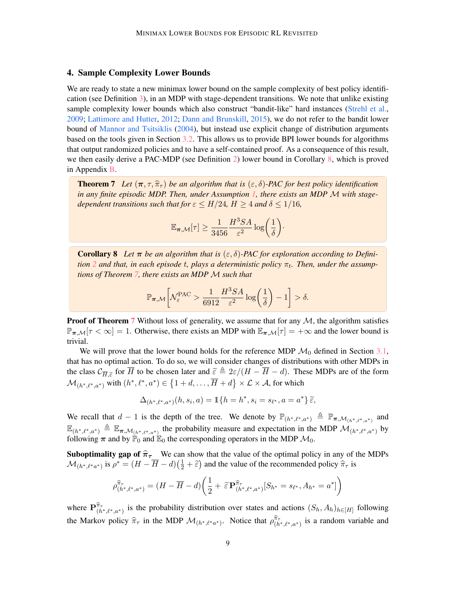## 4. Sample Complexity Lower Bounds

We are ready to state a new minimax lower bound on the sample complexity of best policy identification (see Definition 3), in an MDP with stage-dependent transitions. We note that unlike existing sample complexity lower bounds which also construct "bandit-like" hard instances (Strehl et al., 2009; Lattimore and Hutter, 2012; Dann and Brunskill, 2015), we do not refer to the bandit lower bound of Mannor and Tsitsiklis (2004), but instead use explicit change of distribution arguments based on the tools given in Section 3.2. This allows us to provide BPI lower bounds for algorithms that output randomized policies and to have a self-contained proof. As a consequence of this result, we then easily derive a PAC-MDP (see Definition 2) lower bound in Corollary 8, which is proved in Appendix B.

**Theorem 7** Let  $(\pi, \tau, \hat{\pi}_{\tau})$  be an algorithm that is  $(\epsilon, \delta)$ -PAC for best policy identification *in any finite episodic MDP. Then, under Assumption 1, there exists an MDP* M *with stagedependent transitions such that for*  $\varepsilon \leq H/24$ ,  $H \geq 4$  *and*  $\delta \leq 1/16$ ,

$$
\mathbb{E}_{\boldsymbol{\pi},\mathcal{M}}[\tau] \geq \frac{1}{3456} \frac{H^3 SA}{\varepsilon^2} \log\biggl(\frac{1}{\delta}\biggr).
$$

**Corollary 8** Let  $\pi$  be an algorithm that is  $(\varepsilon, \delta)$ -PAC for exploration according to Defini- $\tau$ *tion* 2 and that, in each episode t, plays a deterministic policy  $\pi$ <sub>t</sub>. Then, under the assump*tions of Theorem 7, there exists an MDP* M *such that*

$$
\mathbb{P}_{\pi,\mathcal{M}}\bigg[\mathcal{N}_{\varepsilon}^{\text{PAC}} > \frac{1}{6912}\frac{H^3SA}{\varepsilon^2}\log\bigg(\frac{1}{\delta}\bigg)-1\bigg] > \delta.
$$

**Proof of Theorem** 7 Without loss of generality, we assume that for any  $M$ , the algorithm satisfies  $\mathbb{P}_{\pi,\mathcal{M}}[\tau < \infty] = 1$ . Otherwise, there exists an MDP with  $\mathbb{E}_{\pi,\mathcal{M}}[\tau] = +\infty$  and the lower bound is trivial.

We will prove that the lower bound holds for the reference MDP  $\mathcal{M}_0$  defined in Section 3.1, that has no optimal action. To do so, we will consider changes of distributions with other MDPs in the class  $C_{\overline{H},\tilde{\varepsilon}}$  for  $\overline{H}$  to be chosen later and  $\tilde{\varepsilon} \triangleq 2\varepsilon/(H - \overline{H} - d)$ . These MDPs are of the form  $\mathcal{M}_{(h^*,\ell^*,a^*)}$  with  $(h^*,\ell^*,a^*)\in \left\{1+d,\ldots,\overline{H}+d\right\}\times\mathcal{L}\times\mathcal{A}$ , for which

$$
\Delta_{(h^*,\ell^*,a^*)}(h, s_i, a) = \mathbb{1}\{h = h^*, s_i = s_{\ell^*}, a = a^*\}\,\widetilde{\varepsilon},
$$

We recall that  $d-1$  is the depth of the tree. We denote by  $\mathbb{P}_{(h^*,\ell^*,a^*)} \triangleq \mathbb{P}_{\pi,\mathcal{M}_{(h^*,\ell^*,a^*)}}$  and  $\mathbb{E}_{(h^*,\ell^*,a^*)} \triangleq \mathbb{E}_{\pi,\mathcal{M}_{(h^*,\ell^*,a^*)}}$  the probability measure and expectation in the MDP  $\mathcal{M}_{(h^*,\ell^*,a^*)}$  by following  $\pi$  and by  $\mathbb{P}_0$  and  $\mathbb{E}_0$  the corresponding operators in the MDP  $\mathcal{M}_0$ .

**Suboptimality gap of**  $\hat{\pi}_{\tau}$  We can show that the value of the optimal policy in any of the MDPs  $\mathcal{M}_{(h^*,\ell^*a^*)}$  is  $\rho^* = (H - \overline{H} - d)(\frac{1}{2} + \widetilde{\varepsilon})$  and the value of the recommended policy  $\widehat{\pi}_{\tau}$  is

$$
\rho_{(h^*,\ell^*,a^*)}^{\hat{\pi}_{\tau}} = (H - \overline{H} - d) \left( \frac{1}{2} + \tilde{\varepsilon} \mathbf{P}_{(h^*,\ell^*,a^*)}^{\hat{\pi}_{\tau}} [S_{h^*} = s_{\ell^*}, A_{h^*} = a^*] \right)
$$

where  $\mathbf{P}_{(h^*,\ell^*,a^*)}^{\hat{\pi}_{\tau}}$  is the probability distribution over states and actions  $(S_h, A_h)_{h \in [H]}$  following the Markov policy  $\hat{\pi}_{\tau}$  in the MDP  $\mathcal{M}_{(h^*,\ell^*,a^*)}$ . Notice that  $\rho^{\hat{\pi}_{\tau}}_{(h^*,\ell^*,a^*)}$  is a random variable and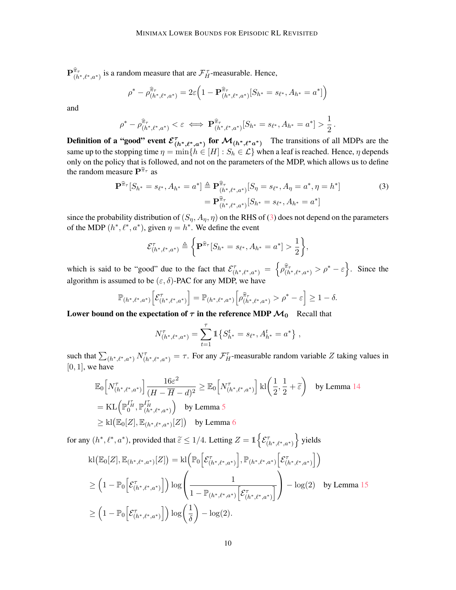$\mathbf{P}_{(h^*,\ell^*,a^*)}^{\hat{\pi}_{\tau}}$  is a random measure that are  $\mathcal{F}_{H}^{\tau}$ -measurable. Hence,

$$
\rho^* - \rho_{(h^*,\ell^*,a^*)}^{\hat{\pi}_{\tau}} = 2\varepsilon \Big(1 - \mathbf{P}_{(h^*,\ell^*,a^*)}^{\hat{\pi}_{\tau}}[S_{h^*} = s_{\ell^*}, A_{h^*} = a^*]\Big)
$$

and

$$
\rho^* - \rho_{(h^*,\ell^*,a^*)}^{\hat{\pi}_{\tau}} < \varepsilon \iff \mathbf{P}_{(h^*,\ell^*,a^*)}^{\hat{\pi}_{\tau}}[S_{h^*} = s_{\ell^*}, A_{h^*} = a^*] > \frac{1}{2}.
$$

**Definition of a "good" event**  $\mathcal{E}_{(h^*,\ell^*,a^*)}^{\tau}$  **for**  $\mathcal{M}_{(h^*,\ell^*a^*)}$  The transitions of all MDPs are the same up to the stopping time  $\eta = \min\{h \in [H] : S_h \in \mathcal{L}\}\$  when a leaf is reached. Hence,  $\eta$  depends only on the policy that is followed, and not on the parameters of the MDP, which allows us to define the random measure  $\mathbf{P}^{\hat{\pi}_{\tau}}$  as

$$
\mathbf{P}^{\widehat{\pi}_{\tau}}[S_{h^*} = s_{\ell^*}, A_{h^*} = a^*] \triangleq \mathbf{P}^{\widehat{\pi}_{\tau}}_{(h^*, \ell^*, a^*)}[S_{\eta} = s_{\ell^*}, A_{\eta} = a^*, \eta = h^*]
$$
\n
$$
= \mathbf{P}^{\widehat{\pi}_{\tau}}_{(h^*, \ell^*, a^*)}[S_{h^*} = s_{\ell^*}, A_{h^*} = a^*]
$$
\n(3)

since the probability distribution of  $(S_n, A_n, \eta)$  on the RHS of (3) does not depend on the parameters of the MDP  $(h^*, \ell^*, a^*)$ , given  $\eta = h^*$ . We define the event

$$
\mathcal{E}_{(h^*,\ell^*,a^*)}^{\tau} \triangleq \left\{ \mathbf{P}^{\widehat{\pi}_{\tau}}[S_{h^*} = s_{\ell^*}, A_{h^*} = a^*] > \frac{1}{2} \right\},\
$$

which is said to be "good" due to the fact that  $\mathcal{E}_{(h^*,\ell^*,a^*)}^{\tau} = \left\{ \rho_{(h^*,\ell^*,a^*)}^{\hat{\pi}_{\tau}} > \rho^* - \varepsilon \right\}$ . Since the algorithm is assumed to be  $(\varepsilon, \delta)$ -PAC for any MDP, we have

$$
\mathbb{P}_{(h^*,\ell^*,a^*)} \Big[ \mathcal{E}_{(h^*,\ell^*,a^*)}^{\tau} \Big] = \mathbb{P}_{(h^*,\ell^*,a^*)} \Big[ \rho_{(h^*,\ell^*,a^*)}^{\hat{\pi}_{\tau}} > \rho^* - \varepsilon \Big] \ge 1 - \delta.
$$

Lower bound on the expectation of  $\tau$  in the reference MDP  $\mathcal{M}_0$  Recall that

$$
N^{\tau}_{(h^*,\ell^*,a^*)} = \sum_{t=1}^{\tau} 1 \{ S^t_{h^*} = s_{\ell^*}, A^t_{h^*} = a^* \},
$$

such that  $\sum_{(h^*,\ell^*,a^*)} N^{\tau}_{(h^*,\ell^*,a^*)} = \tau$ . For any  $\mathcal{F}_{H}^{\tau}$ -measurable random variable Z taking values in  $[0, 1]$ , we have

$$
\mathbb{E}_{0}\left[N_{(h^*,\ell^*,a^*)}^{\tau}\right] \frac{16\varepsilon^2}{(H - \overline{H} - d)^2} \geq \mathbb{E}_{0}\left[N_{(h^*,\ell^*,a^*)}^{\tau}\right] \text{kl}\left(\frac{1}{2},\frac{1}{2} + \widetilde{\varepsilon}\right) \quad \text{by Lemma 14}
$$
\n
$$
= \text{KL}\left(\mathbb{P}_0^{I_H^{\tau}}, \mathbb{P}_{(h^*,\ell^*,a^*)}^{I_H^{\tau}}\right) \quad \text{by Lemma 5}
$$
\n
$$
\geq \text{kl}\left(\mathbb{E}_{0}[Z], \mathbb{E}_{(h^*,\ell^*,a^*)}[Z]\right) \quad \text{by Lemma 6}
$$

for any  $(h^*, \ell^*, a^*)$ , provided that  $\tilde{\varepsilon} \leq 1/4$ . Letting  $Z = \mathbb{1} \Big\{ \mathcal{E}_{(h^*, \ell^*, a^*)}^{\tau} \Big\}$  yields

$$
kl(\mathbb{E}_{0}[Z], \mathbb{E}_{(h^*, \ell^*, a^*)}[Z]) = kl\left(\mathbb{P}_{0}\left[\mathcal{E}_{(h^*, \ell^*, a^*)}^{\tau}\right], \mathbb{P}_{(h^*, \ell^*, a^*)}\left[\mathcal{E}_{(h^*, \ell^*, a^*)}^{\tau}\right]\right)
$$
  
\n
$$
\geq \left(1 - \mathbb{P}_{0}\left[\mathcal{E}_{(h^*, \ell^*, a^*)}^{\tau}\right]\right) \log \left(\frac{1}{1 - \mathbb{P}_{(h^*, \ell^*, a^*)}\left[\mathcal{E}_{(h^*, \ell^*, a^*)}^{\tau}\right]}\right) - \log(2) \quad \text{by Lemma 15}
$$
  
\n
$$
\geq \left(1 - \mathbb{P}_{0}\left[\mathcal{E}_{(h^*, \ell^*, a^*)}^{\tau}\right]\right) \log\left(\frac{1}{\delta}\right) - \log(2).
$$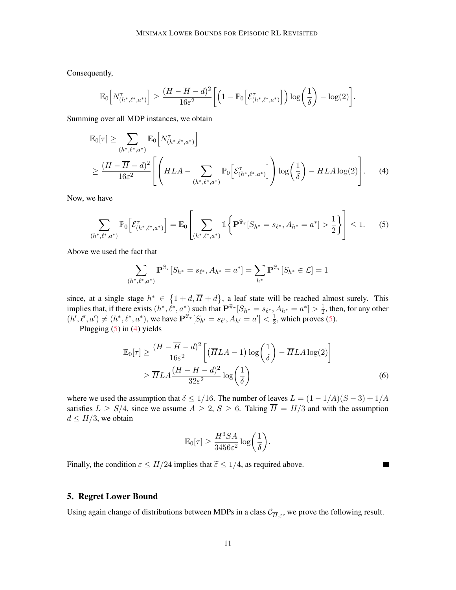Consequently,

$$
\mathbb{E}_0\Big[N^{\tau}_{(h^*,\ell^*,a^*)}\Big] \geq \frac{(H-\overline{H}-d)^2}{16\varepsilon^2}\bigg[\Big(1-\mathbb{P}_0\Big[\mathcal{E}^{\tau}_{(h^*,\ell^*,a^*)}\Big]\Big)\log\bigg(\frac{1}{\delta}\bigg)-\log(2)\bigg].
$$

Summing over all MDP instances, we obtain

$$
\mathbb{E}_{0}[\tau] \geq \sum_{(h^*,\ell^*,a^*)} \mathbb{E}_{0} \Big[ N^{\tau}_{(h^*,\ell^*,a^*)} \Big] \n\geq \frac{(H - \overline{H} - d)^2}{16\varepsilon^2} \Bigg[ \left( \overline{H}LA - \sum_{(h^*,\ell^*,a^*)} \mathbb{P}_{0} \Big[ \mathcal{E}^{\tau}_{(h^*,\ell^*,a^*)} \Big] \right) \log \left( \frac{1}{\delta} \right) - \overline{H}LA \log(2) \Bigg].
$$
\n(4)

Now, we have

$$
\sum_{(h^*,\ell^*,a^*)} \mathbb{P}_0\Big[\mathcal{E}_{(h^*,\ell^*,a^*)}^{\tau}\Big] = \mathbb{E}_0\Bigg[\sum_{(h^*,\ell^*,a^*)} \mathbb{1}\bigg\{\mathbf{P}^{\widehat{\pi}_{\tau}}[S_{h^*} = s_{\ell^*}, A_{h^*} = a^*] > \frac{1}{2}\bigg\}\Bigg] \le 1. \tag{5}
$$

Above we used the fact that

$$
\sum_{(h^*,\ell^*,a^*)} \mathbf{P}^{\hat{\pi}_{\tau}}[S_{h^*}=s_{\ell^*},A_{h^*}=a^*] = \sum_{h^*} \mathbf{P}^{\hat{\pi}_{\tau}}[S_{h^*}\in\mathcal{L}] = 1
$$

since, at a single stage  $h^* \in \{1+d, \overline{H}+d\}$ , a leaf state will be reached almost surely. This implies that, if there exists  $(h^*, \ell^*, a^*)$  such that  $\mathbf{P}^{\hat{\pi}_{\tau}}[S_{h^*} = s_{\ell^*}, A_{h^*} = a^*] > \frac{1}{2}$  $\frac{1}{2}$ , then, for any other  $(h', \ell', a') \neq (h^*, \ell^*, a^*)$ , we have  $\mathbf{P}^{\hat{\pi}_{\tau}}[S_{h'} = s_{\ell'}, A_{h'} = a'] < \frac{1}{2}$  $\frac{1}{2}$ , which proves (5).

Plugging  $(5)$  in  $(4)$  yields

$$
\mathbb{E}_0[\tau] \ge \frac{(H - \overline{H} - d)^2}{16\varepsilon^2} \left[ (\overline{H}LA - 1) \log\left(\frac{1}{\delta}\right) - \overline{H}LA \log(2) \right]
$$
  
 
$$
\ge \overline{H}LA \frac{(H - \overline{H} - d)^2}{32\varepsilon^2} \log\left(\frac{1}{\delta}\right)
$$
 (6)

П

where we used the assumption that  $\delta \leq 1/16$ . The number of leaves  $L = (1 - 1/A)(S - 3) + 1/A$ satisfies  $L \geq S/4$ , since we assume  $A \geq 2$ ,  $S \geq 6$ . Taking  $\overline{H} = H/3$  and with the assumption  $d \leq H/3$ , we obtain

$$
\mathbb{E}_0[\tau] \geq \frac{H^3SA}{3456\varepsilon^2}\log\bigg(\frac{1}{\delta}\bigg).
$$

Finally, the condition  $\varepsilon \leq H/24$  implies that  $\tilde{\varepsilon} \leq 1/4$ , as required above.

## 5. Regret Lower Bound

Using again change of distributions between MDPs in a class  $\mathcal{C}_{\overline{H},\varepsilon}$ , we prove the following result.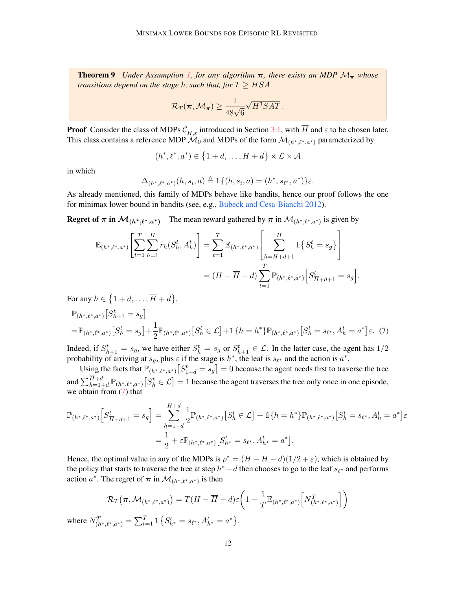**Theorem 9** *Under Assumption 1, for any algorithm*  $\pi$ *, there exists an MDP*  $M_{\pi}$  *whose transitions depend on the stage h, such that, for*  $T \geq HSA$ 

$$
\mathcal{R}_T(\pi,\mathcal{M}_\pi) \geq \frac{1}{48\sqrt{6}}\sqrt{H^3SAT}.
$$

**Proof** Consider the class of MDPs  $C_{\overline{H}_{\mathcal{E}}}$  introduced in Section 3.1, with  $\overline{H}$  and  $\epsilon$  to be chosen later. This class contains a reference MDP  $\mathcal{M}_0$  and MDPs of the form  $\mathcal{M}_{(h^*,\ell^*,a^*)}$  parameterized by

$$
(h^*, \ell^*, a^*) \in \left\{1+d, \ldots, \overline{H} + d\right\} \times \mathcal{L} \times \mathcal{A}
$$

in which

$$
\Delta_{(h^*,\ell^*,a^*)}(h,s_i,a) \triangleq \mathbb{1}\{(h,s_i,a) = (h^*,s_{\ell^*},a^*)\}\varepsilon.
$$

As already mentioned, this family of MDPs behave like bandits, hence our proof follows the one for minimax lower bound in bandits (see, e.g., Bubeck and Cesa-Bianchi 2012).

**Regret of**  $\pi$  **in**  $\mathcal{M}_{(h^*,\ell^*,a^*)}$  The mean reward gathered by  $\pi$  in  $\mathcal{M}_{(h^*,\ell^*,a^*)}$  is given by

$$
\mathbb{E}_{(h^*, \ell^*, a^*)} \left[ \sum_{t=1}^T \sum_{h=1}^H r_h(S_h^t, A_h^t) \right] = \sum_{t=1}^T \mathbb{E}_{(h^*, \ell^*, a^*)} \left[ \sum_{h=\overline{H}+d+1}^H 1\{S_h^t = s_g\} \right]
$$

$$
= (H - \overline{H} - d) \sum_{t=1}^T \mathbb{P}_{(h^*, \ell^*, a^*)} \left[ S_{\overline{H}+d+1}^t = s_g \right].
$$

For any  $h \in \{1+d, \ldots, \overline{H} + d\},\$ 

$$
\mathbb{P}_{(h^*,\ell^*,a^*)}[S_{h+1}^t = s_g]
$$
\n
$$
= \mathbb{P}_{(h^*,\ell^*,a^*)}[S_h^t = s_g] + \frac{1}{2}\mathbb{P}_{(h^*,\ell^*,a^*)}[S_h^t \in \mathcal{L}] + \mathbb{1}\{h = h^*\}\mathbb{P}_{(h^*,\ell^*,a^*)}[S_h^t = s_{\ell^*}, A_h^t = a^*]\varepsilon. \tag{7}
$$

Indeed, if  $S_{h+1}^t = s_g$ , we have either  $S_h^t = s_g$  or  $S_{h+1}^t \in \mathcal{L}$ . In the latter case, the agent has  $1/2$ probability of arriving at  $s_g$ , plus  $\varepsilon$  if the stage is  $h^*$ , the leaf is  $s_{\ell^*}$  and the action is  $a^*$ .

Using the facts that  $\mathbb{P}_{(h^*,\ell^*,a^*)}\left[S^t_{1+d} = s_g\right] = 0$  because the agent needs first to traverse the tree and  $\sum_{h=1+d}^{H+d} \mathbb{P}_{(h^*,\ell^*,a^*)} \big[ S_h^t \in \mathcal{L} \big] = 1$  because the agent traverses the tree only once in one episode, we obtain from (7) that

$$
\mathbb{P}_{(h^*,\ell^*,a^*)} \Big[ S^t_{\overline{H}+d+1} = s_g \Big] = \sum_{h=1+d}^{H+d} \frac{1}{2} \mathbb{P}_{(h^*,\ell^*,a^*)} \Big[ S^t_h \in \mathcal{L} \Big] + \mathbb{1} \{ h = h^* \} \mathbb{P}_{(h^*,\ell^*,a^*)} \Big[ S^t_h = s_{\ell^*}, A^t_h = a^* \Big] \varepsilon
$$
  
=  $\frac{1}{2} + \varepsilon \mathbb{P}_{(h^*,\ell^*,a^*)} \Big[ S^t_{h^*} = s_{\ell^*}, A^t_{h^*} = a^* \Big].$ 

Hence, the optimal value in any of the MDPs is  $\rho^* = (H - \overline{H} - d)(1/2 + \varepsilon)$ , which is obtained by the policy that starts to traverse the tree at step  $h^*$  – d then chooses to go to the leaf  $s_{\ell^*}$  and performs action  $a^*$ . The regret of  $\pi$  in  $\mathcal{M}_{(h^*,\ell^*,a^*)}$  is then

$$
\mathcal{R}_T(\pi, \mathcal{M}_{(h^*, \ell^*, a^*)}) = T(H - \overline{H} - d)\varepsilon \left(1 - \frac{1}{T} \mathbb{E}_{(h^*, \ell^*, a^*)} \left[N_{(h^*, \ell^*, a^*)}^T\right]\right)
$$
  

$$
= \sum_{k=1}^T \mathbb{E}_{\mathcal{S}_{(h^*, \ell^*)}}[S_{(h^*, \ell^*, a^*)}^T] \left(N_{(h^*, \ell^*, a^*)}^T\right]
$$

where  $N_{(h^*,\ell^*,a^*)}^T = \sum_{t=1}^T \mathbb{1} \{ S_{h^*}^t = s_{\ell^*}, A_{h^*}^t = a^* \}.$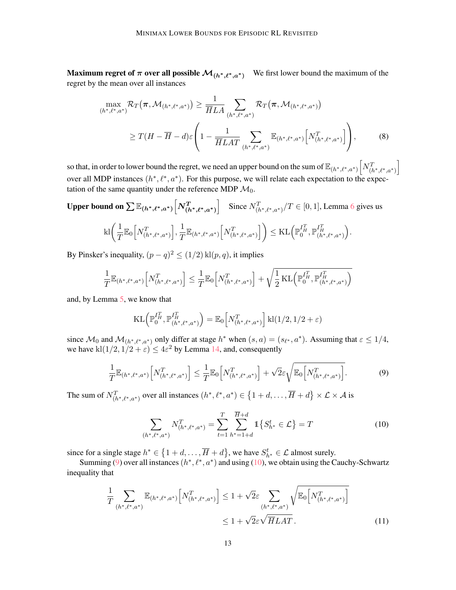**Maximum regret of**  $\pi$  **over all possible**  $\mathcal{M}_{(h^*,\ell^*,a^*)}$  We first lower bound the maximum of the regret by the mean over all instances

$$
\max_{(h^*, \ell^*, a^*)} \mathcal{R}_T(\pi, \mathcal{M}_{(h^*, \ell^*, a^*)}) \ge \frac{1}{\overline{H}LA} \sum_{(h^*, \ell^*, a^*)} \mathcal{R}_T(\pi, \mathcal{M}_{(h^*, \ell^*, a^*)})
$$
\n
$$
\ge T(H - \overline{H} - d) \varepsilon \left(1 - \frac{1}{\overline{H}LAT} \sum_{(h^*, \ell^*, a^*)} \mathbb{E}_{(h^*, \ell^*, a^*)} \left[N^T_{(h^*, \ell^*, a^*)}\right]\right),
$$
\n(8)

so that, in order to lower bound the regret, we need an upper bound on the sum of  $\mathbb{E}_{(h^*,\ell^*,a^*)}\Big[N^T_{(h^*,\ell^*,a^*)}\Big]$ over all MDP instances  $(h^*, \ell^*, a^*)$ . For this purpose, we will relate each expectation to the expectation of the same quantity under the reference MDP  $\mathcal{M}_0$ .

\nUpper bound on\n
$$
\sum \mathbb{E}_{(h^*,\ell^*,a^*)} \left[ N_{(h^*,\ell^*,a^*)}^T \right]
$$
\nSince\n $N_{(h^*,\ell^*,a^*)}^T / T \in [0,1]$ ,\nLemma 6 gives us\n $\text{kl}\left( \frac{1}{T} \mathbb{E}_0 \left[ N_{(h^*,\ell^*,a^*)}^T \right], \frac{1}{T} \mathbb{E}_{(h^*,\ell^*,a^*)} \left[ N_{(h^*,\ell^*,a^*)}^T \right] \right) \leq \text{KL}\left( \mathbb{P}_0^{I_H^T}, \mathbb{P}_{(h^*,\ell^*,a^*)}^{I_H^T} \right).$ \n

By Pinsker's inequality,  $(p - q)^2 \le (1/2) \text{ kl}(p, q)$ , it implies

$$
\frac{1}{T} \mathbb{E}_{(h^*, \ell^*, a^*)} \Big[ N_{(h^*, \ell^*, a^*)}^T \Big] \leq \frac{1}{T} \mathbb{E}_{0} \Big[ N_{(h^*, \ell^*, a^*)}^T \Big] + \sqrt{\frac{1}{2} \text{KL} \Big( \mathbb{P}_{0}^{I_H^T}, \mathbb{P}_{(h^*, \ell^*, a^*)}^{I_H^T} \Big)}
$$

and, by Lemma 5, we know that

$$
KL\left(\mathbb{P}_{0}^{I_{H}^{T}}, \mathbb{P}_{(h^{*},\ell^{*},a^{*})}^{I_{H}^{T}}\right) = \mathbb{E}_{0}\left[N_{(h^{*},\ell^{*},a^{*})}^{T}\right]kl(1/2,1/2+\varepsilon)
$$

since  $\mathcal{M}_0$  and  $\mathcal{M}_{(h^*,\ell^*,a^*)}$  only differ at stage  $h^*$  when  $(s, a) = (s_{\ell^*}, a^*)$ . Assuming that  $\varepsilon \leq 1/4$ , we have  $\text{kl}(1/2, 1/2 + \varepsilon) \leq 4\varepsilon^2$  by Lemma 14, and, consequently

$$
\frac{1}{T} \mathbb{E}_{(h^*, \ell^*, a^*)} \Big[ N_{(h^*, \ell^*, a^*)}^T \Big] \le \frac{1}{T} \mathbb{E}_0 \Big[ N_{(h^*, \ell^*, a^*)}^T \Big] + \sqrt{2} \varepsilon \sqrt{\mathbb{E}_0 \Big[ N_{(h^*, \ell^*, a^*)}^T \Big]}.
$$
\n(9)

The sum of  $N^T_{(h^*,\ell^*,a^*)}$  over all instances  $(h^*,\ell^*,a^*) \in \{1+d,\ldots,\overline{H}+d\} \times \mathcal{L} \times \mathcal{A}$  is

$$
\sum_{(h^*,\ell^*,a^*)} N_{(h^*,\ell^*,a^*)}^T = \sum_{t=1}^T \sum_{h^*=1+d}^{\overline{H}+d} 1 \{ S_{h^*}^t \in \mathcal{L} \} = T
$$
\n(10)

since for a single stage  $h^* \in \{1+d, \ldots, \overline{H} + d\}$ , we have  $S_{h^*}^t \in \mathcal{L}$  almost surely.

Summing (9) over all instances  $(h^*, \ell^*, a^*)$  and using (10), we obtain using the Cauchy-Schwartz inequality that

$$
\frac{1}{T} \sum_{(h^*, \ell^*, a^*)} \mathbb{E}_{(h^*, \ell^*, a^*)} \Big[ N_{(h^*, \ell^*, a^*)}^T \Big] \le 1 + \sqrt{2} \varepsilon \sum_{(h^*, \ell^*, a^*)} \sqrt{\mathbb{E}_0 \Big[ N_{(h^*, \ell^*, a^*)}^T \Big]} \le 1 + \sqrt{2} \varepsilon \sqrt{\overline{H} L A T} .
$$
\n(11)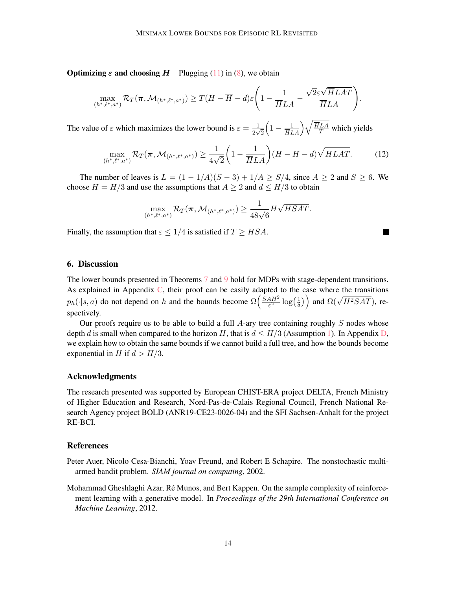**Optimizing**  $\varepsilon$  **and choosing**  $\overline{H}$  Plugging (11) in (8), we obtain

$$
\max_{(h^*,\ell^*,a^*)} \mathcal{R}_T(\pi,\mathcal{M}_{(h^*,\ell^*,a^*)}) \ge T(H - \overline{H} - d)\varepsilon \Bigg(1 - \frac{1}{\overline{H}LA} - \frac{\sqrt{2}\varepsilon\sqrt{\overline{H}LAT}}{\overline{H}LA}\Bigg).
$$

The value of  $\varepsilon$  which maximizes the lower bound is  $\varepsilon = \frac{1}{2}$  $\frac{1}{2\sqrt{2}}$  $\left(1 - \frac{1}{\overline{H}LA}\right) \sqrt{\frac{\overline{H}LA}{T}}$  which yields

$$
\max_{(h^*,\ell^*,a^*)} \mathcal{R}_T(\pi,\mathcal{M}_{(h^*,\ell^*,a^*)}) \ge \frac{1}{4\sqrt{2}} \left(1 - \frac{1}{\overline{H}LA}\right) (H - \overline{H} - d) \sqrt{\overline{H}LAT}.\tag{12}
$$

 $\blacksquare$ 

The number of leaves is  $L = (1 - 1/A)(S - 3) + 1/A \geq S/4$ , since  $A \geq 2$  and  $S \geq 6$ . We choose  $\overline{H} = H/3$  and use the assumptions that  $A \geq 2$  and  $d \leq H/3$  to obtain

$$
\max_{(h^*,\ell^*,a^*)} \mathcal{R}_T(\pi,\mathcal{M}_{(h^*,\ell^*,a^*)}) \geq \frac{1}{48\sqrt{6}}H\sqrt{HSAT}.
$$

Finally, the assumption that  $\varepsilon \leq 1/4$  is satisfied if  $T \geq HSA$ .

## 6. Discussion

The lower bounds presented in Theorems 7 and 9 hold for MDPs with stage-dependent transitions. As explained in Appendix C, their proof can be easily adapted to the case where the transitions  $p_h(\cdot|s, a)$  do not depend on h and the bounds become  $\Omega\left(\frac{SAH^2}{\epsilon^2}\right)$  $\frac{4H^2}{\varepsilon^2}\log\left(\frac{1}{\delta}\right)$  $\left(\frac{1}{\delta}\right)$  and  $\Omega(\sqrt{H^2SAT})$ , respectively.

Our proofs require us to be able to build a full  $A$ -ary tree containing roughly  $S$  nodes whose depth d is small when compared to the horizon H, that is  $d \leq H/3$  (Assumption 1). In Appendix D, we explain how to obtain the same bounds if we cannot build a full tree, and how the bounds become exponential in H if  $d > H/3$ .

## Acknowledgments

The research presented was supported by European CHIST-ERA project DELTA, French Ministry of Higher Education and Research, Nord-Pas-de-Calais Regional Council, French National Research Agency project BOLD (ANR19-CE23-0026-04) and the SFI Sachsen-Anhalt for the project RE-BCI.

#### References

- Peter Auer, Nicolo Cesa-Bianchi, Yoav Freund, and Robert E Schapire. The nonstochastic multiarmed bandit problem. *SIAM journal on computing*, 2002.
- Mohammad Gheshlaghi Azar, Ré Munos, and Bert Kappen. On the sample complexity of reinforcement learning with a generative model. In *Proceedings of the 29th International Conference on Machine Learning*, 2012.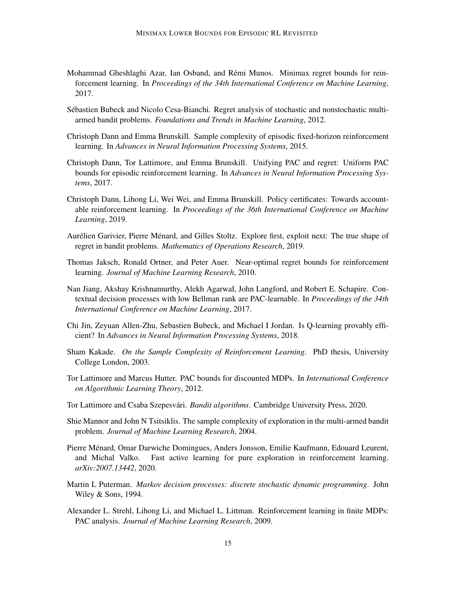- Mohammad Gheshlaghi Azar, Ian Osband, and Remi Munos. Minimax regret bounds for rein- ´ forcement learning. In *Proceedings of the 34th International Conference on Machine Learning*, 2017.
- Sebastien Bubeck and Nicolo Cesa-Bianchi. Regret analysis of stochastic and nonstochastic multi- ´ armed bandit problems. *Foundations and Trends in Machine Learning*, 2012.
- Christoph Dann and Emma Brunskill. Sample complexity of episodic fixed-horizon reinforcement learning. In *Advances in Neural Information Processing Systems*, 2015.
- Christoph Dann, Tor Lattimore, and Emma Brunskill. Unifying PAC and regret: Uniform PAC bounds for episodic reinforcement learning. In *Advances in Neural Information Processing Systems*, 2017.
- Christoph Dann, Lihong Li, Wei Wei, and Emma Brunskill. Policy certificates: Towards accountable reinforcement learning. In *Proceedings of the 36th International Conference on Machine Learning*, 2019.
- Aurélien Garivier, Pierre Ménard, and Gilles Stoltz. Explore first, exploit next: The true shape of regret in bandit problems. *Mathematics of Operations Research*, 2019.
- Thomas Jaksch, Ronald Ortner, and Peter Auer. Near-optimal regret bounds for reinforcement learning. *Journal of Machine Learning Research*, 2010.
- Nan Jiang, Akshay Krishnamurthy, Alekh Agarwal, John Langford, and Robert E. Schapire. Contextual decision processes with low Bellman rank are PAC-learnable. In *Proceedings of the 34th International Conference on Machine Learning*, 2017.
- Chi Jin, Zeyuan Allen-Zhu, Sebastien Bubeck, and Michael I Jordan. Is Q-learning provably efficient? In *Advances in Neural Information Processing Systems*, 2018.
- Sham Kakade. *On the Sample Complexity of Reinforcement Learning*. PhD thesis, University College London, 2003.
- Tor Lattimore and Marcus Hutter. PAC bounds for discounted MDPs. In *International Conference on Algorithmic Learning Theory*, 2012.
- Tor Lattimore and Csaba Szepesvári. *Bandit algorithms*. Cambridge University Press, 2020.
- Shie Mannor and John N Tsitsiklis. The sample complexity of exploration in the multi-armed bandit problem. *Journal of Machine Learning Research*, 2004.
- Pierre Menard, Omar Darwiche Domingues, Anders Jonsson, Emilie Kaufmann, Edouard Leurent, ´ and Michal Valko. Fast active learning for pure exploration in reinforcement learning. *arXiv:2007.13442*, 2020.
- Martin L Puterman. *Markov decision processes: discrete stochastic dynamic programming*. John Wiley & Sons, 1994.
- Alexander L. Strehl, Lihong Li, and Michael L. Littman. Reinforcement learning in finite MDPs: PAC analysis. *Journal of Machine Learning Research*, 2009.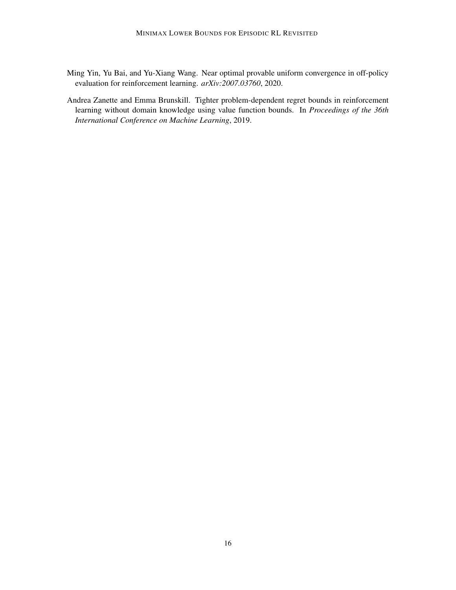- Ming Yin, Yu Bai, and Yu-Xiang Wang. Near optimal provable uniform convergence in off-policy evaluation for reinforcement learning. *arXiv:2007.03760*, 2020.
- Andrea Zanette and Emma Brunskill. Tighter problem-dependent regret bounds in reinforcement learning without domain knowledge using value function bounds. In *Proceedings of the 36th International Conference on Machine Learning*, 2019.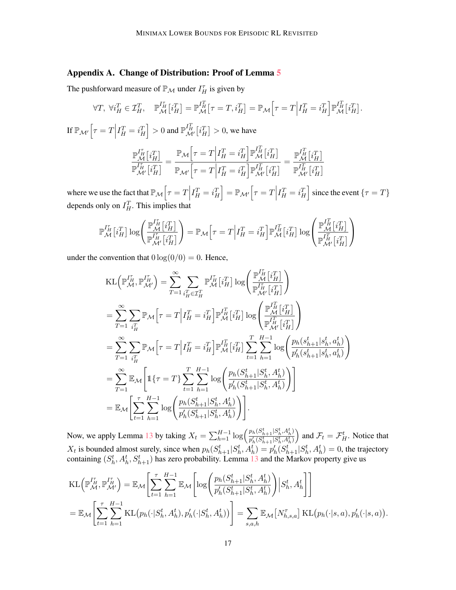## Appendix A. Change of Distribution: Proof of Lemma 5

The pushforward measure of  $\mathbb{P}_M$  under  $I_H^{\tau}$  is given by

$$
\forall T, \ \forall i_H^T \in \mathcal{I}_H^T, \quad \mathbb{P}_{\mathcal{M}}^{I_H^T} \left[ i_H^T \right] = \mathbb{P}_{\mathcal{M}}^{I_H^T} \left[ \tau = T, i_H^T \right] = \mathbb{P}_{\mathcal{M}} \left[ \tau = T \middle| I_H^T = i_H^T \right] \mathbb{P}_{\mathcal{M}}^{I_H^T} \left[ i_H^T \right].
$$

If  $\mathbb{P}_{\mathcal{M}'}\Big[\tau = T\Big|$  $I_H^T = i_H^T$  > 0 and  $\mathbb{P}_{\mathcal{M}'}^{I_H^T}[i_H^T] > 0$ , we have

$$
\frac{\mathbb{P}_{\mathcal{M}}^{I_H^T}[i_H^T]}{\mathbb{P}_{\mathcal{M}'}^{I_H^T}[i_H^T]} = \frac{\mathbb{P}_{\mathcal{M}}\Big[\tau = T \Big| I_H^T = i_H^T \Big] \mathbb{P}_{\mathcal{M}}^{I_H^T}[i_H^T]}{\mathbb{P}_{\mathcal{M}'}^{I_H^T}[i_H^T] = i_H^T \Big] \mathbb{P}_{\mathcal{M}'}^{I_H^T}[i_H^T]} = \frac{\mathbb{P}_{\mathcal{M}}^{I_H^T}[i_H^T]}{\mathbb{P}_{\mathcal{M}'}^{I_H^T}[i_H^T]}
$$

where we use the fact that  $\mathbb{P}_M[\tau = T]$  $I_H^T = i_H^T$  =  $\mathbb{P}_{\mathcal{M}'} \Big[ \tau = T \Big|$  $I_H^T = i_H^T$  since the event  $\{\tau = T\}$ depends only on  $I_H^T$ . This implies that

$$
\mathbb{P}_{\mathcal{M}}^{I_{H}^{r}}\!\left[i_{H}^{T}\right]\log\!\left(\frac{\mathbb{P}_{\mathcal{M}}^{I_{H}^{r}}\!\left[i_{H}^{T}\right]}{\mathbb{P}_{\mathcal{M}^{\prime}}^{I_{H}^{r}}\!\left[i_{H}^{T}\right]}\right)=\mathbb{P}_{\mathcal{M}}\!\left[\tau=T\middle|I_{H}^{T}=i_{H}^{T}\right]\mathbb{P}_{\mathcal{M}}^{I_{H}^{T}}\!\left[i_{H}^{T}\right]\log\!\left(\frac{\mathbb{P}_{\mathcal{M}}^{I_{H}^{T}}\!\left[i_{H}^{T}\right]}{\mathbb{P}_{\mathcal{M}^{\prime}}^{I_{H}^{T}}\!\left[i_{H}^{T}\right]}\right)
$$

under the convention that  $0 \log(0/0) = 0$ . Hence,

$$
\begin{split} &\mathrm{KL}\Big(\mathbb{P}_{\mathcal{M}}^{I_{H}^{r}},\mathbb{P}_{\mathcal{M}'}^{I_{H}^{r}}\Big)=\sum_{T=1}^{\infty}\sum_{i_{H}^{T}\in\mathcal{I}_{H}^{T}}\mathbb{P}_{\mathcal{M}}^{I_{H}^{r}}[i_{H}^{T}]\log\Bigg(\frac{\mathbb{P}_{\mathcal{M}}^{I_{H}^{r}}[i_{H}^{T}]}{\mathbb{P}_{\mathcal{M}'}^{I_{H}^{r}}[i_{H}^{T}]}\Bigg)\\ &=\sum_{T=1}^{\infty}\sum_{i_{H}^{T}}\mathbb{P}_{\mathcal{M}}\Big[\tau=T\Big|I_{H}^{T}=i_{H}^{T}\Big]\mathbb{P}_{\mathcal{M}}^{I_{H}^{T}}[i_{H}^{T}]\log\Bigg(\frac{\mathbb{P}_{\mathcal{M}}^{I_{H}^{T}}[i_{H}^{T}]}{\mathbb{P}_{\mathcal{M}'}^{I_{H}^{r}}[i_{H}^{T}]}\Bigg)\\ &=\sum_{T=1}^{\infty}\sum_{i_{H}^{T}}\mathbb{P}_{\mathcal{M}}\Big[\tau=T\Big|I_{H}^{T}=i_{H}^{T}\Big]\mathbb{P}_{\mathcal{M}}^{I_{H}^{T}}[i_{H}^{T}]\sum_{t=1}^{T}\sum_{h=1}^{H-1}\log\Bigg(\frac{p_{h}(s_{h+1}^{t}|s_{h}^{t},a_{h}^{t})}{p_{h}'(s_{h+1}^{t}|s_{h}^{t},a_{h}^{t})}\Bigg)\\ &=\sum_{T=1}^{\infty}\mathbb{E}_{\mathcal{M}}\Bigg[1\{\tau=T\}\sum_{t=1}^{T}\sum_{h=1}^{H-1}\log\Bigg(\frac{p_{h}(S_{h+1}^{t}|S_{h}^{t},A_{h}^{t})}{p_{h}'(S_{h+1}^{t}|S_{h}^{t},A_{h}^{t})}\Bigg)\Bigg].\\ &\mathbb{E}_{\mathcal{M}}\Bigg[\sum_{t=1}^{T}\sum_{h=1}^{H-1}\log\Bigg(\frac{p_{h}(S_{h+1}^{t}|S_{h}^{t},A_{h}^{t})}{p_{h}'(S_{h+1}^{t}|S_{h}^{t},A_{h}^{t})}\Bigg)\Bigg].\end{split}
$$

Now, we apply Lemma 13 by taking  $X_t = \sum_{h=1}^{H-1} \log \left( \frac{p_h(S_{h+1}^t | S_h^t, A_h^t)}{p'_h(S_{h+1}^t | S_h^t, A_h^t)} \right)$  $\frac{p_h(S_{h+1}^t|S_h^t, A_h^t)}{p'_h(S_{h+1}^t|S_h^t, A_h^t)}$  and  $\mathcal{F}_t = \mathcal{F}_H^t$ . Notice that  $X_t$  is bounded almost surely, since when  $p_h(S_{h+1}^t|S_h^t, A_h^t) = p_h'(S_{h+1}^t|S_h^t, A_h^t) = 0$ , the trajectory containing  $(S_h^t, A_h^t, S_{h+1}^t)$  has zero probability. Lemma 13 and the Markov property give us

$$
KL\left(\mathbb{P}_{\mathcal{M}}^{I_{H}^{T}}, \mathbb{P}_{\mathcal{M}'}^{I_{H}^{T}}\right) = \mathbb{E}_{\mathcal{M}}\left[\sum_{t=1}^{\tau} \sum_{h=1}^{H-1} \mathbb{E}_{\mathcal{M}}\left[\log\left(\frac{p_{h}(S_{h+1}^{t}|S_{h}^{t}, A_{h}^{t})}{p_{h}'(S_{h+1}^{t}|S_{h}^{t}, A_{h}^{t})}\right)|S_{h}^{t}, A_{h}^{t}\right]\right]
$$
  
=  $\mathbb{E}_{\mathcal{M}}\left[\sum_{t=1}^{\tau} \sum_{h=1}^{H-1} KL\left(p_{h}(\cdot|S_{h}^{t}, A_{h}^{t}), p_{h}'(\cdot|S_{h}^{t}, A_{h}^{t})\right)\right] = \sum_{s,a,h} \mathbb{E}_{\mathcal{M}}\left[N_{h,s,a}^{\tau}\right]KL\left(p_{h}(\cdot|s,a), p_{h}'(\cdot|s,a)\right).$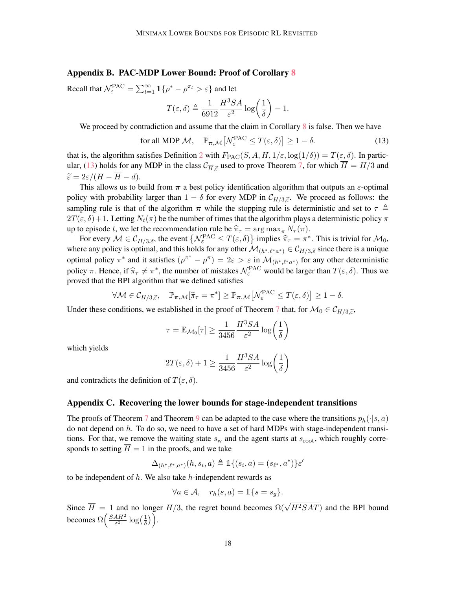## Appendix B. PAC-MDP Lower Bound: Proof of Corollary 8

Recall that  $\mathcal{N}_{\varepsilon}^{\text{PAC}} = \sum_{t=1}^{\infty} \mathbb{1} \{ \rho^* - \rho^{\pi_t} > \varepsilon \}$  and let

$$
T(\varepsilon,\delta) \triangleq \frac{1}{6912}\frac{H^3SA}{\varepsilon^2}\log\left(\frac{1}{\delta}\right) - 1.
$$

We proceed by contradiction and assume that the claim in Corollary  $\frac{8}{18}$  is false. Then we have

for all MDP 
$$
\mathcal{M}
$$
,  $\mathbb{P}_{\pi,\mathcal{M}}\left[\mathcal{N}_{\varepsilon}^{\text{PAC}} \leq T(\varepsilon,\delta)\right] \geq 1-\delta.$  (13)

that is, the algorithm satisfies Definition 2 with  $F_{\text{PAC}}(S, A, H, 1/\varepsilon, \log(1/\delta)) = T(\varepsilon, \delta)$ . In particular, (13) holds for any MDP in the class  $C_{\overline{H},\tilde{\varepsilon}}$  used to prove Theorem 7, for which  $H = H/3$  and  $\tilde{\varepsilon} = 2 \sqrt{(H - \overline{H})^2}$  $\widetilde{\varepsilon}=2\varepsilon/(H-\overline{H}-d).$ 

This allows us to build from  $\pi$  a best policy identification algorithm that outputs an  $\varepsilon$ -optimal policy with probability larger than  $1 - \delta$  for every MDP in  $C_{H/3,\tilde{\varepsilon}}$ . We proceed as follows: the sampling rule is that of the algorithm  $\pi$  while the stopping rule is deterministic and set to  $\tau \triangleq$  $2T(\epsilon, \delta) + 1$ . Letting  $N_t(\pi)$  be the number of times that the algorithm plays a deterministic policy  $\pi$ up to episode t, we let the recommendation rule be  $\hat{\pi}_{\tau} = \arg \max_{\pi} N_{\tau} (\pi)$ .

For every  $M \in \mathcal{C}_{H/3,\tilde{\varepsilon}}$ , the event  $\{ \mathcal{N}_{\varepsilon}^{\text{PAC}} \leq T(\varepsilon,\delta) \}$  implies  $\hat{\pi}_{\tau} = \pi^*$ . This is trivial for  $\mathcal{M}_0$ , where any policy is optimal, and this holds for any other  $\mathcal{M}_{(h^*,\ell^*\alpha^*)} \in \mathcal{C}_{H/3,\tilde{\epsilon}}$  since there is a unique optimal policy  $\pi^*$  and it satisfies  $(\rho^{\pi^*} - \rho^{\pi}) = 2\varepsilon > \varepsilon$  in  $\mathcal{M}_{(h^*,\ell^*a^*)}$  for any other deterministic policy  $\pi$ . Hence, if  $\hat{\pi}_{\tau} \neq \pi^*$ , the number of mistakes  $\mathcal{N}_{\varepsilon}^{\text{PAC}}$  would be larger than  $T(\varepsilon, \delta)$ . Thus we proved that the BPI algorithm that we defined satisfies

$$
\forall \mathcal{M} \in \mathcal{C}_{H/3,\widetilde{\varepsilon}}, \quad \mathbb{P}_{\pi,\mathcal{M}}[\widehat{\pi}_{\tau} = \pi^*] \ge \mathbb{P}_{\pi,\mathcal{M}}\big[\mathcal{N}_{\varepsilon}^{\text{PAC}} \le T(\varepsilon,\delta)\big] \ge 1-\delta.
$$

Under these conditions, we established in the proof of Theorem 7 that, for  $\mathcal{M}_0 \in \mathcal{C}_{H/3,\tilde{\varepsilon}}$ ,

$$
\tau = \mathbb{E}_{\mathcal{M}_0}[\tau] \geq \frac{1}{3456} \frac{H^3 SA}{\varepsilon^2} \log\left(\frac{1}{\delta}\right)
$$

which yields

$$
2T(\varepsilon,\delta)+1\geq \frac{1}{3456}\frac{H^3SA}{\varepsilon^2}\log\biggl(\frac{1}{\delta}\biggr)
$$

and contradicts the definition of  $T(\varepsilon, \delta)$ .

## Appendix C. Recovering the lower bounds for stage-independent transitions

The proofs of Theorem 7 and Theorem 9 can be adapted to the case where the transitions  $p_h(\cdot|s, a)$ do not depend on  $h$ . To do so, we need to have a set of hard MDPs with stage-independent transitions. For that, we remove the waiting state  $s_w$  and the agent starts at  $s_{\text{root}}$ , which roughly corresponds to setting  $\overline{H} = 1$  in the proofs, and we take

$$
\Delta_{(h^*,\ell^*,a^*)}(h,s_i,a) \triangleq \mathbb{1}\{(s_i,a) = (s_{\ell^*},a^*)\}\varepsilon'
$$

to be independent of  $h$ . We also take  $h$ -independent rewards as

$$
\forall a \in \mathcal{A}, \quad r_h(s, a) = \mathbb{1}\{s = s_g\}.
$$

Since  $\overline{H} = 1$  and no longer  $H/3$ , the regret bound becomes  $\Omega(\sqrt{H^2SAT})$  and the BPI bound becomes  $\Omega\left(\frac{SAH^2}{\epsilon^2}\right)$  $\frac{4H^2}{\varepsilon^2}\log\left(\frac{1}{\delta}\right)$  $\frac{1}{\delta})$ .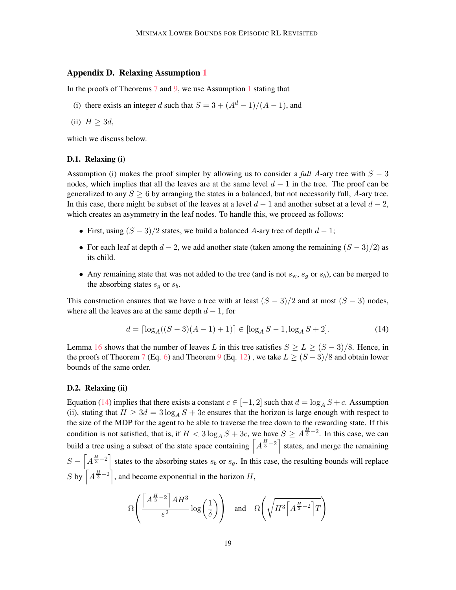## Appendix D. Relaxing Assumption 1

In the proofs of Theorems 7 and 9, we use Assumption 1 stating that

- (i) there exists an integer d such that  $S = 3 + (A^d 1)/(A 1)$ , and
- (ii)  $H \geq 3d$ ,

which we discuss below.

#### D.1. Relaxing (i)

Assumption (i) makes the proof simpler by allowing us to consider a *full* A-ary tree with  $S - 3$ nodes, which implies that all the leaves are at the same level  $d - 1$  in the tree. The proof can be generalized to any  $S > 6$  by arranging the states in a balanced, but not necessarily full, A-ary tree. In this case, there might be subset of the leaves at a level  $d-1$  and another subset at a level  $d-2$ , which creates an asymmetry in the leaf nodes. To handle this, we proceed as follows:

- First, using  $(S 3)/2$  states, we build a balanced A-ary tree of depth  $d 1$ ;
- For each leaf at depth  $d 2$ , we add another state (taken among the remaining  $(S 3)/2$ ) as its child.
- Any remaining state that was not added to the tree (and is not  $s_w$ ,  $s_g$  or  $s_b$ ), can be merged to the absorbing states  $s_q$  or  $s_b$ .

This construction ensures that we have a tree with at least  $(S - 3)/2$  and at most  $(S - 3)$  nodes, where all the leaves are at the same depth  $d - 1$ , for

$$
d = \left\lceil \log_A((S-3)(A-1)+1) \right\rceil \in \left\lceil \log_A S - 1, \log_A S + 2 \right\rceil. \tag{14}
$$

Lemma 16 shows that the number of leaves L in this tree satisfies  $S \ge L \ge (S-3)/8$ . Hence, in the proofs of Theorem 7 (Eq. 6) and Theorem 9 (Eq. 12), we take  $L > (S - 3)/8$  and obtain lower bounds of the same order.

#### D.2. Relaxing (ii)

Equation (14) implies that there exists a constant  $c \in [-1, 2]$  such that  $d = \log_A S + c$ . Assumption (ii), stating that  $H \geq 3d = 3 \log_A S + 3c$  ensures that the horizon is large enough with respect to the size of the MDP for the agent to be able to traverse the tree down to the rewarding state. If this condition is not satisfied, that is, if  $H < 3 \log_A S + 3c$ , we have  $S \ge A^{\frac{H}{3}-2}$ . In this case, we can build a tree using a subset of the state space containing  $\left[A^{\frac{H}{3}-2}\right]$  states, and merge the remaining  $S - \left[A^{\frac{H}{3}-2}\right]$  states to the absorbing states  $s_b$  or  $s_g$ . In this case, the resulting bounds will replace S by  $\left[A^{\frac{H}{3}-2}\right]$ , and become exponential in the horizon H,

$$
\Omega\left(\frac{\left[A^{\frac{H}{3}-2}\right]AH^3}{\varepsilon^2}\log\left(\frac{1}{\delta}\right)\right) \quad \text{and} \quad \Omega\left(\sqrt{H^3\left[A^{\frac{H}{3}-2}\right]T}\right)
$$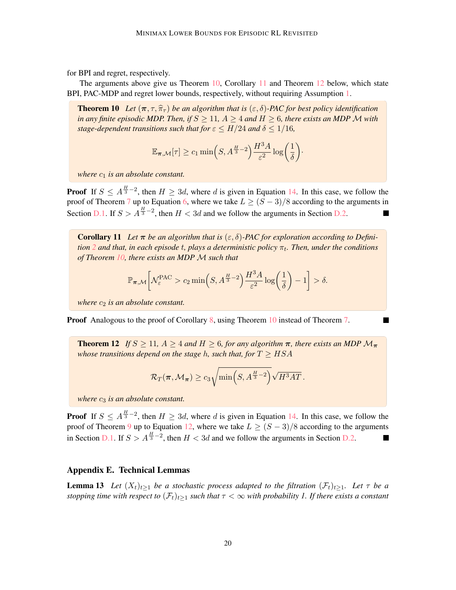for BPI and regret, respectively.

The arguments above give us Theorem 10, Corollary 11 and Theorem 12 below, which state BPI, PAC-MDP and regret lower bounds, respectively, without requiring Assumption 1.

**Theorem 10** Let  $(\pi, \tau, \hat{\pi}_\tau)$  be an algorithm that is  $(\varepsilon, \delta)$ -PAC for best policy identification *in any finite episodic MDP. Then, if*  $S \geq 11$ *,*  $A \geq 4$  *and*  $H \geq 6$ *, there exists an MDP M with stage-dependent transitions such that for*  $\varepsilon \leq H/24$  *and*  $\delta \leq 1/16$ *,* 

$$
\mathbb{E}_{\boldsymbol{\pi},\mathcal{M}}[\tau] \geq c_1 \min\Bigl(S,A^{\frac{H}{3}-2}\Bigr) \frac{H^3A}{\varepsilon^2} \log\biggl(\frac{1}{\delta}\biggr) \cdot
$$

*where*  $c_1$  *is an absolute constant.* 

**Proof** If  $S \leq A^{\frac{H}{3}-2}$ , then  $H \geq 3d$ , where d is given in Equation 14. In this case, we follow the proof of Theorem 7 up to Equation 6, where we take  $L \geq (S-3)/8$  according to the arguments in Section D.1. If  $S > A^{\frac{H}{3}-2}$ , then  $H < 3d$  and we follow the arguments in Section D.2.

**Corollary 11** Let  $\pi$  be an algorithm that is  $(\varepsilon, \delta)$ -PAC for exploration according to Definition 2 and that, in each episode t, plays a deterministic policy  $\pi_t$ . Then, under the conditions *of Theorem 10, there exists an MDP* M *such that*

$$
\mathbb{P}_{\boldsymbol{\pi},\mathcal{M}}\bigg[\mathcal{N}_{\varepsilon}^{\text{PAC}}>c_2\min\Big(S,A^{\frac{H}{3}-2}\Big)\frac{H^3A}{\varepsilon^2}\log\bigg(\frac{1}{\delta}\bigg)-1\bigg]>\delta.
$$

*where*  $c_2$  *is an absolute constant.* 

Proof Analogous to the proof of Corollary 8, using Theorem 10 instead of Theorem 7.

**Theorem 12** *If*  $S \ge 11$ *,*  $A \ge 4$  *and*  $H \ge 6$ *, for any algorithm*  $\pi$ *, there exists an MDP*  $\mathcal{M}_{\pi}$ *whose transitions depend on the stage h, such that, for*  $T \geq HSA$ 

$$
\mathcal{R}_T(\pi,\mathcal{M}_\pi) \ge c_3 \sqrt{\min\left(S,A^{\frac{H}{3}-2}\right)} \sqrt{H^3AT} \,.
$$

*where*  $c_3$  *is an absolute constant.* 

**Proof** If  $S \leq A^{\frac{H}{3}-2}$ , then  $H \geq 3d$ , where d is given in Equation 14. In this case, we follow the proof of Theorem 9 up to Equation 12, where we take  $L \ge (S-3)/8$  according to the arguments in Section D.1. If  $S > A^{\frac{H}{3}-2}$ , then  $H < 3d$  and we follow the arguments in Section D.2.

#### Appendix E. Technical Lemmas

**Lemma 13** Let  $(X_t)_{t>1}$  be a stochastic process adapted to the filtration  $(\mathcal{F}_t)_{t>1}$ . Let  $\tau$  be a *stopping time with respect to*  $(\mathcal{F}_t)_{t>1}$  *such that*  $\tau < \infty$  *with probability 1. If there exists a constant*